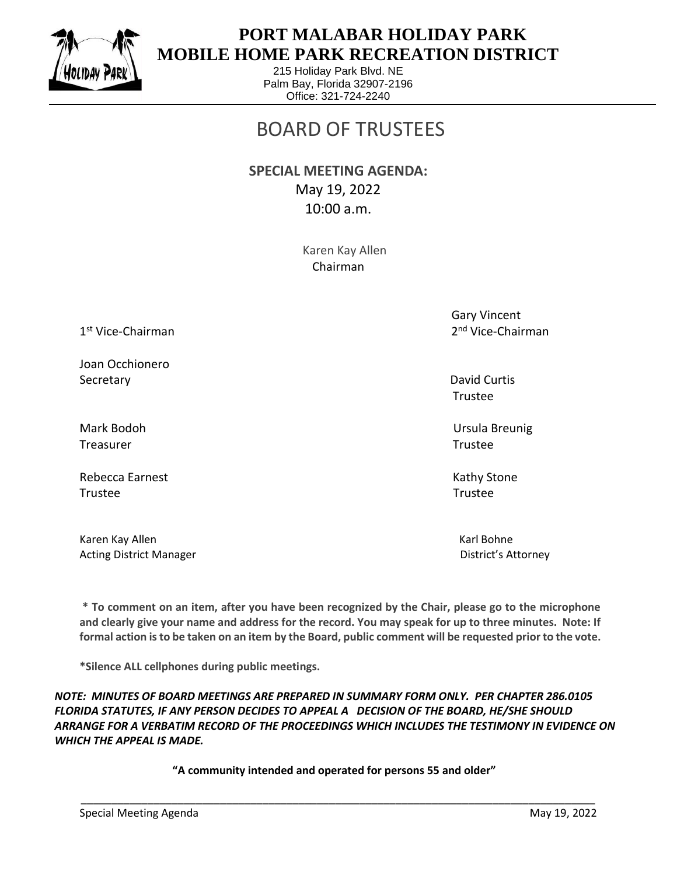

 $\overline{a}$ 

## **PORT MALABAR HOLIDAY PARK MOBILE HOME PARK RECREATION DISTRICT**

215 Holiday Park Blvd. NE Palm Bay, Florida 32907-2196 Office: 321-724-2240

## BOARD OF TRUSTEES

**SPECIAL MEETING AGENDA:**  May 19, 2022 10:00 a.m.

> Karen Kay Allen Chairman

1 st Vice-Chairman 2

Joan Occhionero Secretary David Curtis Control of the Curtis Control of the David Curtis Control of the David Curtis Control of the David Curtis Control of the David Curtis Control of the David Curtis Control of the David Curtis Control o

Treasurer Trustee

Rebecca Earnest **Kathy Stone** Kathy Stone Trustee Trustee

Karen Kay Allen Karl Bohne Karl Bohne Karl Bohne Karl Bohne Karl Bohne Karl Bohne Karl Bohne Karl Bohne Karl Bohne Acting District Manager **District Manager** District's Attorney

 Gary Vincent 2<sup>nd</sup> Vice-Chairman

Trustee

Mark Bodoh Ursula Breunig

**\* To comment on an item, after you have been recognized by the Chair, please go to the microphone and clearly give your name and address for the record. You may speak for up to three minutes. Note: If formal action is to be taken on an item by the Board, public comment will be requested prior to the vote.**

**\*Silence ALL cellphones during public meetings.**

*NOTE: MINUTES OF BOARD MEETINGS ARE PREPARED IN SUMMARY FORM ONLY. PER CHAPTER 286.0105 FLORIDA STATUTES, IF ANY PERSON DECIDES TO APPEAL A DECISION OF THE BOARD, HE/SHE SHOULD ARRANGE FOR A VERBATIM RECORD OF THE PROCEEDINGS WHICH INCLUDES THE TESTIMONY IN EVIDENCE ON WHICH THE APPEAL IS MADE.*

**"A community intended and operated for persons 55 and older"**

\_\_\_\_\_\_\_\_\_\_\_\_\_\_\_\_\_\_\_\_\_\_\_\_\_\_\_\_\_\_\_\_\_\_\_\_\_\_\_\_\_\_\_\_\_\_\_\_\_\_\_\_\_\_\_\_\_\_\_\_\_\_\_\_\_\_\_\_\_\_\_\_\_\_\_\_\_\_\_\_\_\_\_\_\_